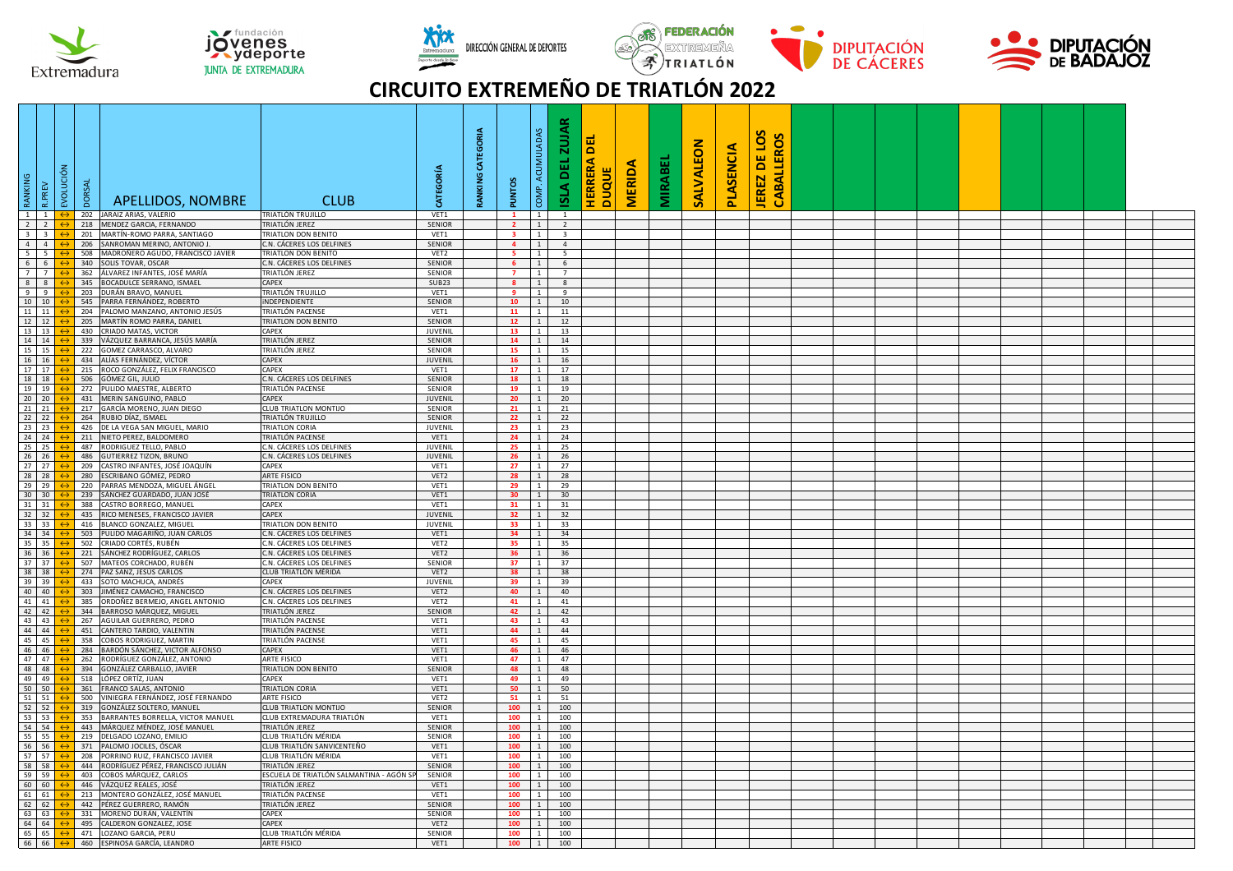









## **CIRCUITO EXTREMEÑO DE TRIATLÓN 2022**

| BNINNING | $\sim$                             | EVOLUCIÓN | <b>DORSAL</b> | APELLIDOS, NOMBRE                                               | <b>CLUB</b>                                            | EGORÍA                   | CATEGORIA<br>RANKING | <b>PUNTOS</b>   | MULADAS<br><b>ACUI</b><br>COMP.  | <b>ZUJAR</b><br>ш<br>۵<br><b>AISI</b>     | ٥<br><b>RRERA</b><br>Ŧ. | <b>MERIDA</b><br><b>DUQUE</b> | <b>MIRABEI</b> | SALVALEON | PLASENCIA | S<br>CABALLEROS<br>DE LOS<br><b>JEREZ</b> |  |  |  |  |  |
|----------|------------------------------------|-----------|---------------|-----------------------------------------------------------------|--------------------------------------------------------|--------------------------|----------------------|-----------------|----------------------------------|-------------------------------------------|-------------------------|-------------------------------|----------------|-----------|-----------|-------------------------------------------|--|--|--|--|--|
|          | 1 1                                |           | 202           | JARAIZ ARIAS, VALERIO                                           | TRIATLÓN TRUJILLO                                      | VET1                     |                      |                 | $1 \quad$                        | $\overline{1}$                            |                         |                               |                |           |           |                                           |  |  |  |  |  |
|          | $2 \mid 2 \mid$<br>$3 \mid 3 \mid$ |           | 218           | MENDEZ GARCIA, FERNANDO<br>MARTÍN-ROMO PARRA, SANTIAGO          | TRIATLÓN JEREZ<br><b>TRIATLON DON BENITO</b>           | SENIOR                   |                      | $\mathbf{2}$    | 1<br>$\overline{1}$              | $\overline{2}$                            |                         |                               |                |           |           |                                           |  |  |  |  |  |
|          | $4 \quad 4$                        |           | 201<br>206    | SANROMAN MERINO, ANTONIO J.                                     | C.N. CÁCERES LOS DELFINES                              | VET1<br>SENIOR           |                      | $\overline{a}$  | 1                                | $\overline{\mathbf{3}}$<br>$\overline{4}$ |                         |                               |                |           |           |                                           |  |  |  |  |  |
|          | 5 5                                |           | 508           | MADROÑERO AGUDO, FRANCISCO JAVIER                               | TRIATLON DON BENITO                                    | VET2                     |                      | <b>S</b>        | <sup>1</sup>                     | 5                                         |                         |                               |                |           |           |                                           |  |  |  |  |  |
|          | 6 6                                |           | 340           | SOLIS TOVAR, OSCAR                                              | C.N. CÁCERES LOS DELFINES                              | SENIOR                   |                      | -6              | $1 \mid$                         | 6                                         |                         |                               |                |           |           |                                           |  |  |  |  |  |
|          | 77                                 |           | 362           | ÁLVAREZ INFANTES, JOSÉ MARÍA                                    | TRIATLÓN JEREZ                                         | SENIOR                   |                      | $\overline{7}$  | $\overline{1}$                   | $\overline{7}$                            |                         |                               |                |           |           |                                           |  |  |  |  |  |
|          | 8 <sup>8</sup>                     |           | 345           | BOCADULCE SERRANO, ISMAEL                                       | CAPFX                                                  | SUB23                    |                      | $\mathbf{8}$    | 1                                | 8                                         |                         |                               |                |           |           |                                           |  |  |  |  |  |
|          | $9 \t9$                            |           | 203           | DURÁN BRAVO, MANUEL                                             | TRIATLÓN TRUJILLO                                      | VET1                     |                      | -9              | $\overline{1}$                   | $\overline{9}$                            |                         |                               |                |           |           |                                           |  |  |  |  |  |
|          | 10 10                              |           | 545           | PARRA FERNÁNDEZ, ROBERTO                                        | <b>INDEPENDIENTE</b>                                   | <b>SENIOR</b>            |                      | 10              | 1                                | 10                                        |                         |                               |                |           |           |                                           |  |  |  |  |  |
|          | 11 11                              |           | 204<br>205    | PALOMO MANZANO, ANTONIO JESÚS                                   | TRIATLÓN PACENSE                                       | VET1                     |                      | 11<br>12        | $1\phantom{0}$<br>$1 \mid$       | 11<br>12                                  |                         |                               |                |           |           |                                           |  |  |  |  |  |
|          | 12 12<br>13 13                     |           | 430           | MARTÍN ROMO PARRA, DANIEL<br>CRIADO MATAS, VICTOR               | TRIATLON DON BENITO<br>CAPEX                           | SENIOR<br>JUVENIL        |                      | 13              | $\overline{1}$                   | 13                                        |                         |                               |                |           |           |                                           |  |  |  |  |  |
|          | 14 14                              |           | 339           | VÁZQUEZ BARRANCA, JESÚS MARÍA                                   | TRIATLÓN JEREZ                                         | SENIOR                   |                      | 14              | 1                                | 14                                        |                         |                               |                |           |           |                                           |  |  |  |  |  |
|          | 15 15                              |           | 222           | GOMEZ CARRASCO, ALVARO                                          | TRIATLÓN JEREZ                                         | SENIOR                   |                      | -15             | $\overline{1}$                   | 15                                        |                         |                               |                |           |           |                                           |  |  |  |  |  |
|          | 16 16                              |           |               | 434 ALÍAS FERNÁNDEZ, VÍCTOR                                     | CAPFX                                                  | JUVENIL                  |                      | 16              | 1                                | 16                                        |                         |                               |                |           |           |                                           |  |  |  |  |  |
|          | 17 17                              |           |               | 215 ROCO GONZÁLEZ, FELIX FRANCISCO                              | <b>CAPEX</b>                                           | VET1                     |                      | 17              | $1 \mid$                         | 17                                        |                         |                               |                |           |           |                                           |  |  |  |  |  |
|          | 18 18                              |           | 506           | GÓMEZ GIL, JULIO                                                | C.N. CÁCERES LOS DELFINES                              | <b>SENIOR</b>            |                      | 18              | 1 <sup>1</sup>                   | 18                                        |                         |                               |                |           |           |                                           |  |  |  |  |  |
|          | 19 19                              |           |               | 272 PULIDO MAESTRE, ALBERTO                                     | TRIATLÓN PACENSE                                       | <b>SENIOR</b>            |                      | 19              | $\overline{1}$                   | 19                                        |                         |                               |                |           |           |                                           |  |  |  |  |  |
|          | $20 \overline{20}$<br>21 21        |           | 217           | 431 MERIN SANGUINO, PABLO<br>GARCÍA MORENO, JUAN DIEGO          | CAPEX<br>CLUB TRIATLON MONTIJO                         | <b>JUVENIL</b><br>SENIOR |                      | 20<br>21        | 1<br>$1\phantom{0}$              | 20<br>21                                  |                         |                               |                |           |           |                                           |  |  |  |  |  |
|          | $22 \overline{22}$                 |           |               | 264 RUBIO DÍAZ, ISMAEL                                          | TRIATLÓN TRUJILLO                                      | <b>SENIOR</b>            |                      | 22              | 1                                | 22                                        |                         |                               |                |           |           |                                           |  |  |  |  |  |
|          | 23 23                              |           | 426           | DE LA VEGA SAN MIGUEL, MARIO                                    | TRIATLON CORIA                                         | JUVENIL                  |                      | 23              | 1                                | 23                                        |                         |                               |                |           |           |                                           |  |  |  |  |  |
|          | 24 24                              |           |               | 211 NIETO PEREZ, BALDOMERO                                      | TRIATLÓN PACENSE                                       | VET1                     |                      | 24              | 1                                | 24                                        |                         |                               |                |           |           |                                           |  |  |  |  |  |
|          | 25 25                              |           |               | 487 RODRIGUEZ TELLO, PABLO                                      | C.N. CÁCERES LOS DELFINES                              | JUVENIL                  |                      | 25              | $1 \quad$                        | 25                                        |                         |                               |                |           |           |                                           |  |  |  |  |  |
|          | 26 26                              |           | 486           | <b>GUTIERREZ TIZON, BRUNO</b>                                   | C.N. CÁCERES LOS DELFINES                              | JUVENIL                  |                      | 26              | $1 \vert$                        | 26                                        |                         |                               |                |           |           |                                           |  |  |  |  |  |
|          | 27 27<br>28 28                     |           |               | 209 CASTRO INFANTES, JOSÉ JOAQUÍN<br>280 ESCRIBANO GÓMEZ, PEDRO | CAPFX<br>ARTE FISICO                                   | VET1<br>VET2             |                      | 27<br>28        | $\overline{1}$<br>$\overline{1}$ | 27<br>28                                  |                         |                               |                |           |           |                                           |  |  |  |  |  |
|          | 29 29                              |           | 220           | PARRAS MENDOZA, MIGUEL ÁNGEL                                    | <b>TRIATLON DON BENITO</b>                             | VET1                     |                      | 29              | 1                                | 29                                        |                         |                               |                |           |           |                                           |  |  |  |  |  |
|          | $30 \overline{\smash{\big)}\ 30}$  |           | 239           | SÁNCHEZ GUARDADO, JUAN JOSÉ                                     | <b>TRIATLON CORIA</b>                                  | VET1                     |                      | 30              | $\overline{1}$                   | 30                                        |                         |                               |                |           |           |                                           |  |  |  |  |  |
|          | $31 \overline{\smash{\big)}\ 31}$  |           | 388           | CASTRO BORREGO, MANUEL                                          | CAPEX                                                  | VET1                     |                      | 31              | 1                                | 31                                        |                         |                               |                |           |           |                                           |  |  |  |  |  |
|          | 32 32                              |           | 435           | RICO MENESES, FRANCISCO JAVIER                                  | CAPEX                                                  | JUVENIL                  |                      | 32              | 1                                | 32                                        |                         |                               |                |           |           |                                           |  |  |  |  |  |
|          | 33 33                              |           | 416           | BLANCO GONZALEZ, MIGUEL                                         | TRIATLON DON BENITO                                    | <b>JUVENIL</b>           |                      | 33              | $1\quad$                         | 33                                        |                         |                               |                |           |           |                                           |  |  |  |  |  |
|          | 34 34<br>35 35                     |           |               | 503 PULIDO MAGARIÑO, JUAN CARLOS<br>502 CRIADO CORTÉS, RUBÉN    | C.N. CÁCERES LOS DELFINES<br>C.N. CÁCERES LOS DELFINES | VET1<br>VET2             |                      | 34<br>35        | $1 \mid$<br>$1 \;$               | 34<br>35                                  |                         |                               |                |           |           |                                           |  |  |  |  |  |
|          | 36 36                              |           |               | 221 SÁNCHEZ RODRÍGUEZ, CARLOS                                   | C.N. CÁCERES LOS DELFINES                              | VET2                     |                      | 36              | $1\vert$                         | 36                                        |                         |                               |                |           |           |                                           |  |  |  |  |  |
|          | 37 37                              |           | 507           | MATEOS CORCHADO, RUBÉN                                          | C.N. CÁCERES LOS DELFINES                              | SENIOR                   |                      | 37              | $1 \;$                           | 37                                        |                         |                               |                |           |           |                                           |  |  |  |  |  |
|          | 38 38                              |           |               | 274 PAZ SANZ, JESÚS CARLOS                                      | CLUB TRIATLÓN MÉRIDA                                   | VET <sub>2</sub>         |                      | 38              | $1 \vert$                        | 38                                        |                         |                               |                |           |           |                                           |  |  |  |  |  |
|          | 39 39                              |           | 433           | SOTO MACHUCA, ANDRÉS                                            | CAPEX                                                  | <b>JUVENIL</b>           |                      | 39              | 1                                | 39                                        |                         |                               |                |           |           |                                           |  |  |  |  |  |
|          | 40 40                              |           | 303           | JIMÉNEZ CAMACHO, FRANCISCO                                      | C.N. CÁCERES LOS DELFINES                              | VET2                     |                      | 40              | 1<br>$\overline{1}$              | 40                                        |                         |                               |                |           |           |                                           |  |  |  |  |  |
|          | 41 41<br>42 42                     |           | 385<br>344    | ORDOÑEZ BERMEJO, ANGEL ANTONIO<br>BARROSO MÁRQUEZ, MIGUEL       | .N. CÁCERES LOS DELFINES<br>TRIATLÓN JEREZ             | VET2<br>SENIOR           |                      | 41<br>42        | 1                                | 41<br>42                                  |                         |                               |                |           |           |                                           |  |  |  |  |  |
|          | 43 43                              |           | 267           | AGUILAR GUERRERO, PEDRO                                         | TRIATLÓN PACENSE                                       | VET1                     |                      | 43              | <sup>1</sup>                     | 43                                        |                         |                               |                |           |           |                                           |  |  |  |  |  |
|          | 44 44                              |           | 451           | CANTERO TARDIO, VALENTIN                                        | TRIATLÓN PACENSE                                       | VET1                     |                      | $\overline{a}$  | $\overline{1}$                   | 44                                        |                         |                               |                |           |           |                                           |  |  |  |  |  |
|          | 45 45                              |           | 358           | COBOS RODRIGUEZ, MARTIN                                         | TRIATLÓN PACENSE                                       | VET1                     |                      | 45              | $\overline{1}$                   | 45                                        |                         |                               |                |           |           |                                           |  |  |  |  |  |
|          | 46 46                              |           | 284           | BARDÓN SÁNCHEZ, VICTOR ALFONSO                                  | CAPFX                                                  | VET1                     |                      | 46              | 1                                | 46                                        |                         |                               |                |           |           |                                           |  |  |  |  |  |
|          | 47 47<br>48 48                     |           | 262<br>394    | RODRÍGUEZ GONZÁLEZ, ANTONIO<br>GONZÁLEZ CARBALLO, JAVIER        | ARTE FISICO<br><b>TRIATLON DON BENITO</b>              | VET1<br><b>SENIOR</b>    |                      | 47<br><b>48</b> | $\overline{1}$<br>1              | 47<br>48                                  |                         |                               |                |           |           |                                           |  |  |  |  |  |
|          | 49 49                              |           | 518           | LÓPEZ ORTÍZ, JUAN                                               | CAPEX                                                  | VET1                     |                      | 49              | 1                                | 49                                        |                         |                               |                |           |           |                                           |  |  |  |  |  |
|          | 50 50                              |           | 361           | FRANCO SALAS, ANTONIO                                           | TRIATION CORIA                                         | VET1                     |                      | 50              | 1                                | 50                                        |                         |                               |                |           |           |                                           |  |  |  |  |  |
|          | 51 51                              |           | 500           | VINIEGRA FERNÁNDEZ. JOSÉ FERNANDO                               | ARTE FISICO                                            | VET2                     |                      | 51              | $\overline{1}$                   | 51                                        |                         |                               |                |           |           |                                           |  |  |  |  |  |
|          | 52 52                              |           | 319           | GONZÁLEZ SOLTERO, MANUEL                                        | CLUB TRIATLON MONTIJO                                  | SENIOR                   |                      | 100             | $1 \mid$                         | 100                                       |                         |                               |                |           |           |                                           |  |  |  |  |  |
|          | 53 53                              |           |               | 353 BARRANTES BORRELLA, VICTOR MANUEL                           | CLUB EXTREMADURA TRIATLÓN                              | VET1                     |                      | 100<br>100      | $\overline{1}$<br>1              | 100                                       |                         |                               |                |           |           |                                           |  |  |  |  |  |
|          | 54 54<br>55 55                     |           |               | 443 MÁRQUEZ MÉNDEZ, JOSÉ MANUEL<br>219 DELGADO LOZANO, EMILIO   | TRIATLÓN JEREZ<br>CLUB TRIATIÓN MÉRIDA                 | SENIOR<br>SENIOR         |                      | 100             | $1 \mid$                         | 100<br>100                                |                         |                               |                |           |           |                                           |  |  |  |  |  |
|          | 56 56                              |           |               | 371 PALOMO JOCILES, ÓSCAR                                       | CLUB TRIATLÓN SANVICENTEÑO                             | VET1                     |                      | 100             |                                  | $1 \mid 100$                              |                         |                               |                |           |           |                                           |  |  |  |  |  |
|          | 57 57                              |           |               | 208 PORRINO RUIZ, FRANCISCO JAVIER                              | CLUB TRIATLÓN MÉRIDA                                   | VET1                     |                      | 100             | $\overline{1}$                   | 100                                       |                         |                               |                |           |           |                                           |  |  |  |  |  |
|          | 58 58                              |           |               | 444 RODRÍGUEZ PÉREZ, FRANCISCO JULIÁN                           | TRIATLÓN JEREZ                                         | <b>SENIOR</b>            |                      | 100             | 1                                | 100                                       |                         |                               |                |           |           |                                           |  |  |  |  |  |
|          | 59 59                              |           | 403           | COBOS MÁRQUEZ, CARLOS                                           | ESCUELA DE TRIATLÓN SALMANTINA - AGÓN S                | SENIOR                   |                      | 100             | $1\phantom{0}$                   | 100                                       |                         |                               |                |           |           |                                           |  |  |  |  |  |
|          | 60 60                              |           |               | 446 VÁZQUEZ REALES, JOSÉ                                        | TRIATLÓN JEREZ                                         | VET1                     |                      | 100             | $\overline{1}$                   | 100                                       |                         |                               |                |           |           |                                           |  |  |  |  |  |
|          | 61 61<br>62 62                     |           |               | 213 MONTERO GONZÁLEZ, JOSÉ MANUEL<br>442 PÉREZ GUERRERO, RAMÓN  | TRIATLÓN PACENSE<br>TRIATLÓN JEREZ                     | VET1<br>SENIOR           |                      | 100<br>100      | <sup>1</sup><br>1                | 100<br>100                                |                         |                               |                |           |           |                                           |  |  |  |  |  |
|          | 63 63                              |           |               | 331 MORENO DURÁN, VALENTÍN                                      | CAPEX                                                  | <b>SENIOR</b>            |                      | 100             | $1\,$                            | 100                                       |                         |                               |                |           |           |                                           |  |  |  |  |  |
|          | 64 64                              |           |               | 495 CALDERON GONZALEZ, JOSE                                     | CAPEX                                                  | VET2                     |                      | 100             | $1 \vert$                        | 100                                       |                         |                               |                |           |           |                                           |  |  |  |  |  |
|          | 65 65                              |           |               | 471 LOZANO GARCIA, PERU                                         | CLUB TRIATLÓN MÉRIDA                                   | <b>SENIOR</b>            |                      | 100             | $\overline{1}$                   | 100                                       |                         |                               |                |           |           |                                           |  |  |  |  |  |
|          | 66 66                              |           |               | 460 ESPINOSA GARCÍA, LEANDRO                                    | <b>ARTE FISICO</b>                                     | VET1                     |                      | 100             | 1                                | 100                                       |                         |                               |                |           |           |                                           |  |  |  |  |  |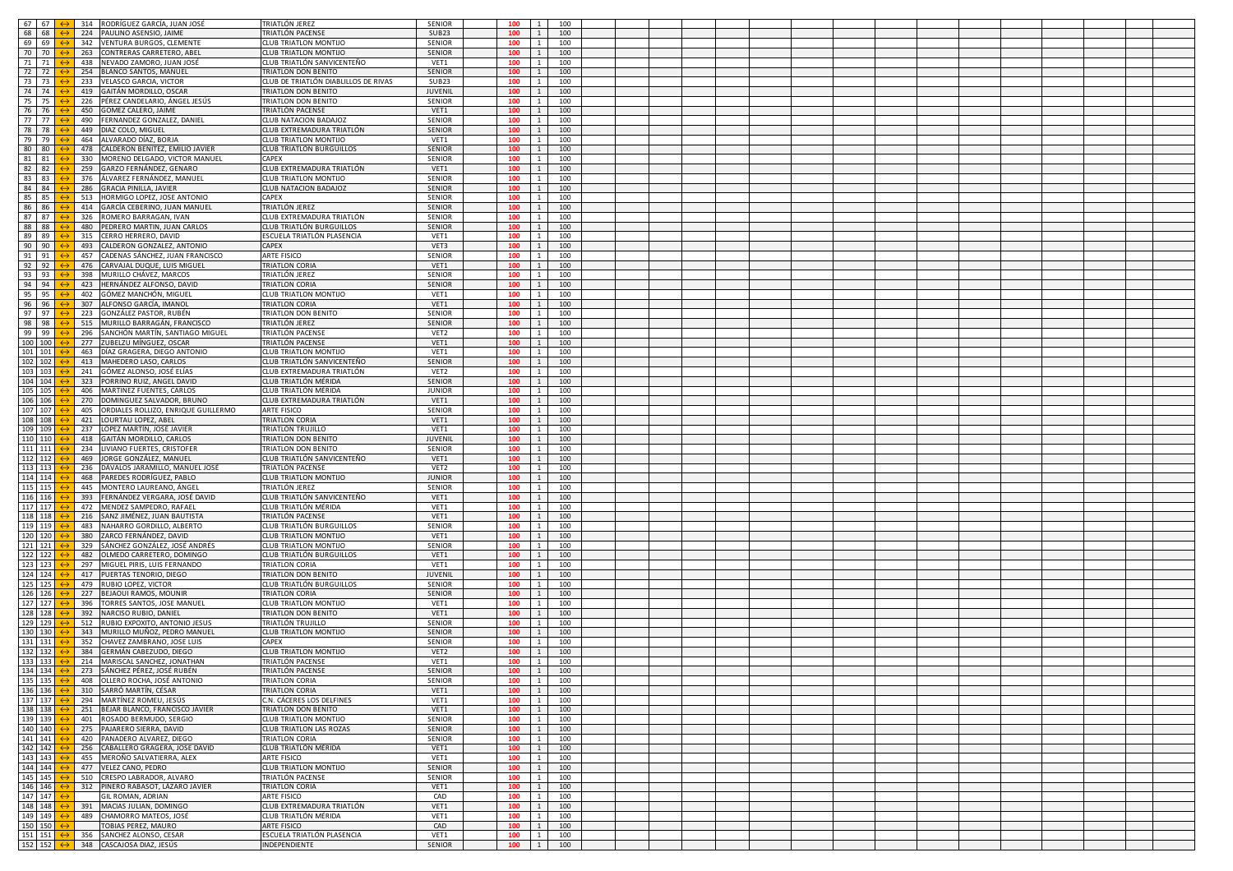|                              | 314 RODRÍGUEZ GARCÍA, JUAN JOSÉ                       |                                      |                  | 100 | $\mathbf{1}$ |     |  |  |  |  |  |  |  |  |
|------------------------------|-------------------------------------------------------|--------------------------------------|------------------|-----|--------------|-----|--|--|--|--|--|--|--|--|
| 67 67<br>68 68               |                                                       | FRIATLÓN JEREZ                       | SENIOR           |     |              | 100 |  |  |  |  |  |  |  |  |
|                              | 224 PAULINO ASENSIO, JAIME                            | FRIATLÓN PACENSE                     | SUB23            | 100 | $\mathbf{1}$ | 100 |  |  |  |  |  |  |  |  |
| 69 69                        | 342<br><b>VENTURA BURGOS, CLEMENTE</b>                | LUB TRIATLON MONTIJO                 | <b>SENIOR</b>    | 100 | $\mathbf{1}$ | 100 |  |  |  |  |  |  |  |  |
| 70 70                        | 263<br>CONTRERAS CARRETERO, ABEL                      | <b>CLUB TRIATLON MONTIJO</b>         | SENIOR           | 100 | 1            | 100 |  |  |  |  |  |  |  |  |
| 71 71                        | 438 NEVADO ZAMORO, JUAN JOSÉ                          | CLUB TRIATLÓN SANVICENTEÑO           | VET1             | 100 | $\mathbf{1}$ | 100 |  |  |  |  |  |  |  |  |
| 72 72                        | 254 BLANCO SANTOS, MANUEL                             | <b><i>FRIATLON DON BENITO</i></b>    | SENIOR           | 100 | $\mathbf{1}$ | 100 |  |  |  |  |  |  |  |  |
| 73 73                        | 233 VELASCO GARCIA, VICTOR                            | CLUB DE TRIATLÓN DIABLILLOS DE RIVAS | SUB23            | 100 | $\mathbf{1}$ | 100 |  |  |  |  |  |  |  |  |
| 74 74                        | 419 GAITÁN MORDILLO, OSCAR                            | RIATLON DON BENITO                   | JUVENIL          | 100 | $\mathbf{1}$ | 100 |  |  |  |  |  |  |  |  |
| 75 75                        | 226<br>PÉREZ CANDELARIO, ÁNGEL JESÚS                  | <b><i>FRIATLON DON BENITO</i></b>    | SENIOR           | 100 |              | 100 |  |  |  |  |  |  |  |  |
|                              | 450                                                   |                                      |                  |     | $\mathbf{1}$ |     |  |  |  |  |  |  |  |  |
| 76 76                        | GOMEZ CALERO, JAIME                                   | RIATLÓN PACENSE                      | VET1             | 100 |              | 100 |  |  |  |  |  |  |  |  |
| 77 77                        | 490 FERNANDEZ GONZALEZ, DANIEL                        | CLUB NATACION BADAJOZ                | <b>SENIOR</b>    | 100 | $\mathbf{1}$ | 100 |  |  |  |  |  |  |  |  |
| 78 78                        | 449 DIAZ COLO, MIGUEL                                 | CLUB EXTREMADURA TRIATLÓN            | <b>SENIOR</b>    | 100 | $\mathbf{1}$ | 100 |  |  |  |  |  |  |  |  |
| 79 79                        | ALVARADO DÍAZ, BORJA<br>464                           | LUB TRIATLON MONTIJO                 | VET1             | 100 | $\mathbf{1}$ | 100 |  |  |  |  |  |  |  |  |
| 80 80                        | 478<br>CALDERON BENITEZ, EMILIO JAVIER                | CLUB TRIATLÓN BURGUILLOS             | SENIOR           | 100 |              | 100 |  |  |  |  |  |  |  |  |
| 81 81                        | 330<br>MORENO DELGADO, VICTOR MANUEL                  | CAPEX                                | SENIOR           | 100 | $\mathbf{1}$ | 100 |  |  |  |  |  |  |  |  |
| 82 82                        | 259 GARZO FERNÁNDEZ, GENARO                           | CLUB EXTREMADURA TRIATLÓN            | VET1             | 100 | $\mathbf{1}$ | 100 |  |  |  |  |  |  |  |  |
| 83 83                        | 376 ÁLVAREZ FERNÁNDEZ, MANUEL                         | CLUB TRIATLON MONTIJO                | SENIOR           | 100 | $\mathbf{1}$ | 100 |  |  |  |  |  |  |  |  |
| 84 84                        | <b>GRACIA PINILLA, JAVIER</b><br>286                  | CLUB NATACION BADAJOZ                | <b>SENIOR</b>    | 100 | $\mathbf{1}$ | 100 |  |  |  |  |  |  |  |  |
| 85 85                        | 513<br>HORMIGO LOPEZ, JOSE ANTONIO                    | CAPEX                                | SENIOR           | 100 | $\mathbf{1}$ | 100 |  |  |  |  |  |  |  |  |
|                              |                                                       |                                      |                  |     |              |     |  |  |  |  |  |  |  |  |
| 86<br>86                     | 414<br>GARCÍA CEBERINO, JUAN MANUEL                   | RIATLÓN JEREZ                        | <b>SENIOR</b>    | 100 | $\mathbf{1}$ | 100 |  |  |  |  |  |  |  |  |
| 87 87                        | 326 ROMERO BARRAGAN, IVAN                             | CLUB EXTREMADURA TRIATLÓN            | <b>SENIOR</b>    | 100 | $\mathbf{1}$ | 100 |  |  |  |  |  |  |  |  |
| 88 88                        | 480 PEDRERO MARTIN, JUAN CARLOS                       | CLUB TRIATLÓN BURGUILLOS             | <b>SENIOR</b>    | 100 | $\mathbf{1}$ | 100 |  |  |  |  |  |  |  |  |
| 89 89                        | 315 CERRO HERRERO, DAVID                              | ESCUELA TRIATLÓN PLASENCIA           | VET1             | 100 | 1            | 100 |  |  |  |  |  |  |  |  |
| 90 90                        | CALDERON GONZALEZ, ANTONIO<br>493                     | CAPEX                                | VET3             | 100 | 1            | 100 |  |  |  |  |  |  |  |  |
| 91 91                        | 457<br>CADENAS SÁNCHEZ, JUAN FRANCISCO                | ARTE FISICO                          | SENIOR           | 100 | $\mathbf{1}$ | 100 |  |  |  |  |  |  |  |  |
| 92 92                        | 476 CARVAJAL DUQUE, LUIS MIGUEL                       | <b><i>FRIATLON CORIA</i></b>         | VET1             | 100 | $\mathbf{1}$ | 100 |  |  |  |  |  |  |  |  |
| 93 93                        | 398 MURILLO CHÁVEZ, MARCOS                            | FRIATLÓN JEREZ                       | SENIOR           | 100 | $\mathbf{1}$ | 100 |  |  |  |  |  |  |  |  |
| 94 94                        | HERNÁNDEZ ALFONSO, DAVID<br>423                       | RIATLON CORIA                        | <b>SENIOR</b>    | 100 | $\mathbf{1}$ | 100 |  |  |  |  |  |  |  |  |
| 95 95                        | 402 GÓMEZ MANCHÓN, MIGUEI                             | CLUB TRIATLON MONTIJO                | VET1             | 100 | $\mathbf{1}$ | 100 |  |  |  |  |  |  |  |  |
|                              |                                                       |                                      |                  |     |              |     |  |  |  |  |  |  |  |  |
| 96 96                        | 307<br>ALFONSO GARCÍA, IMANOL                         | <b><i>FRIATLON CORIA</i></b>         | VET1             | 100 | $\mathbf{1}$ | 100 |  |  |  |  |  |  |  |  |
| 97 97                        | 223 GONZÁLEZ PASTOR, RUBÉN                            | RIATLON DON BENITO                   | SENIOR           | 100 | $\mathbf{1}$ | 100 |  |  |  |  |  |  |  |  |
| 98 98                        | 515 MURILLO BARRAGÁN, FRANCISCO                       | FRIATLÓN JEREZ                       | <b>SENIOR</b>    | 100 | $\mathbf{1}$ | 100 |  |  |  |  |  |  |  |  |
| 99 99                        | SANCHÓN MARTÍN, SANTIAGO MIGUEL<br>296                | FRIATLÓN PACENS                      | VET2             | 100 | $\mathbf{1}$ | 100 |  |  |  |  |  |  |  |  |
| 100 100                      | 277 ZUBELZU MÍNGUEZ, OSCAR                            | TRIATLÓN PACENSE                     | VET1             | 100 | 1            | 100 |  |  |  |  |  |  |  |  |
| 101 101                      | 463 DÍAZ GRAGERA, DIEGO ANTONIO                       | CLUB TRIATLON MONTIJO                | VET1             | 100 | 1            | 100 |  |  |  |  |  |  |  |  |
| 102 102                      | 413 MAHEDERO LASO, CARLOS                             | CLUB TRIATLÓN SANVICENTEÑO           | SENIOR           | 100 | $\mathbf{1}$ | 100 |  |  |  |  |  |  |  |  |
| 103 103                      | 241 GÓMEZ ALONSO, JOSÉ ELÍAS                          | CLUB EXTREMADURA TRIATLÓN            | VET2             | 100 | $\mathbf{1}$ | 100 |  |  |  |  |  |  |  |  |
| 104 104                      | PORRINO RUIZ, ANGEL DAVID<br>323                      | CLUB TRIATLÓN MÉRIDA                 | SENIOR           | 100 | $\mathbf{1}$ | 100 |  |  |  |  |  |  |  |  |
|                              |                                                       |                                      |                  |     |              |     |  |  |  |  |  |  |  |  |
| 105 105                      | 406 MARTINEZ FUENTES, CARLOS                          | CLUB TRIATLÓN MÉRIDA                 | <b>JUNIOR</b>    | 100 | $\mathbf{1}$ | 100 |  |  |  |  |  |  |  |  |
| 106 106                      | DOMINGUEZ SALVADOR, BRUNO<br>270                      | CLUB EXTREMADURA TRIATLÓN            | VET1             | 100 | $\mathbf{1}$ | 100 |  |  |  |  |  |  |  |  |
| 107 107                      | 405 ORDIALES ROLLIZO, ENRIQUE GUILLERMO               | ARTE FISICO                          | SENIOR           | 100 | $\mathbf{1}$ | 100 |  |  |  |  |  |  |  |  |
| 108 108                      | 421 LOURTAU LOPEZ, ABEL                               | <b><i>FRIATLON CORIA</i></b>         | VET1             | 100 | $\mathbf{1}$ | 100 |  |  |  |  |  |  |  |  |
| 109 109                      | LÓPEZ MARTÍN, JOSÉ JAVIER<br>237                      | RIATLÓN TRUJILLO                     | VET1             | 100 | $\mathbf{1}$ | 100 |  |  |  |  |  |  |  |  |
| 110 110                      | 418 GAITÁN MORDILLO, CARLOS                           | <b>FRIATLON DON BENITO</b>           | JUVENIL          | 100 | 1            | 100 |  |  |  |  |  |  |  |  |
| 111 111                      | 234 LIVIANO FUERTES, CRISTOFER                        | <b><i>FRIATLON DON BENITO</i></b>    | SENIOR           | 100 | 1            | 100 |  |  |  |  |  |  |  |  |
| 112 112                      | 469 JORGE GONZÁLEZ, MANUEL                            | CLUB TRIATLÓN SANVICENTEÑO           | VET1             | 100 | $\mathbf{1}$ | 100 |  |  |  |  |  |  |  |  |
| 113 113                      | 236 DÁVALOS JARAMILLO, MANUEL JOSÉ                    | TRIATLÓN PACENSE                     | VET2             | 100 | $\mathbf{1}$ | 100 |  |  |  |  |  |  |  |  |
| 114 114                      | PAREDES RODRÍGUEZ, PABLO<br>468                       | LUB TRIATLON MONTIJO                 | <b>JUNIOR</b>    |     |              |     |  |  |  |  |  |  |  |  |
|                              |                                                       |                                      |                  | 100 | 1            | 100 |  |  |  |  |  |  |  |  |
| 115 115                      | MONTERO LAUREANO, ÁNGEI<br>445                        | FRIATLÓN JEREZ                       | SENIOR           | 100 | 1            | 100 |  |  |  |  |  |  |  |  |
| 116 116                      | FERNÁNDEZ VERGARA, JOSÉ DAVID<br>393                  | LUB TRIATLÓN SANVICENTEÑO            | VET1             | 100 | $\mathbf{1}$ | 100 |  |  |  |  |  |  |  |  |
| 117 117                      | 472 MENDEZ SAMPEDRO, RAFAEL                           | CLUB TRIATLÓN MÉRIDA                 | VET1             | 100 | $\mathbf{1}$ | 100 |  |  |  |  |  |  |  |  |
| 118 118                      | 216 SANZ JIMÉNEZ, JUAN BAUTISTA                       | FRIATLÓN PACENSE                     | VET1             | 100 | $\mathbf{1}$ | 100 |  |  |  |  |  |  |  |  |
| 119 119                      | 483<br>NAHARRO GORDILLO, ALBERTO                      | CLUB TRIATLÓN BURGUILLOS             | SENIOR           | 100 | $\mathbf{1}$ | 100 |  |  |  |  |  |  |  |  |
| 120 120                      | 380 ZARCO FERNÁNDEZ, DAVID                            | CLUB TRIATLON MONTIJO                | VET1             | 100 | 1            | 100 |  |  |  |  |  |  |  |  |
| 121 121                      | 329 SÁNCHEZ GONZÁLEZ, JOSÉ ANDRÉS                     | CLUB TRIATLON MONTIJO                | SENIOR           | 100 | $\mathbf{1}$ | 100 |  |  |  |  |  |  |  |  |
| 122 122                      | 482 OLMEDO CARRETERO, DOMINGO                         | CLUB TRIATLÓN BURGUILLOS             | VET1             | 100 | $\mathbf{1}$ | 100 |  |  |  |  |  |  |  |  |
| 123 123                      | 297 MIGUEL PIRIS, LUIS FERNANDO                       | <b><i>FRIATLON CORIA</i></b>         | VET1             | 100 | $\mathbf{1}$ | 100 |  |  |  |  |  |  |  |  |
| 124 124                      | 417<br>PUERTAS TENORIO, DIEGO                         | RIATLON DON BENITO                   | JUVENIL          | 100 | $\mathbf{1}$ | 100 |  |  |  |  |  |  |  |  |
| 125 125                      | 479 RUBIO LOPEZ, VICTOR                               | CLUB TRIATLÓN BURGUILLOS             | SENIOR           | 100 | $\mathbf{1}$ | 100 |  |  |  |  |  |  |  |  |
|                              |                                                       |                                      |                  |     |              |     |  |  |  |  |  |  |  |  |
| 126 126                      | 227 BEJAOUI RAMOS, MOUNIR                             | <b><i>FRIATLON CORIA</i></b>         | <b>SENIOR</b>    | 100 | $\mathbf{1}$ | 100 |  |  |  |  |  |  |  |  |
| 127 127                      | TORRES SANTOS, JOSE MANUEL<br>396                     | <b>CLUB TRIATLON MONTIJO</b>         | VET1             | 100 | $\mathbf{1}$ | 100 |  |  |  |  |  |  |  |  |
| 128 128                      | 392<br>NARCISO RUBIO, DANIEL                          | <b>FRIATLON DON BENITO</b>           | VET1             | 100 | $\mathbf{1}$ | 100 |  |  |  |  |  |  |  |  |
| 129 129                      | 512<br>RUBIO EXPOXITO, ANTONIO JESUS                  | RIATLÓN TRUJILLO                     | SENIOR           | 100 | $\mathbf{1}$ | 100 |  |  |  |  |  |  |  |  |
| 130 130                      | 343 MURILLO MUÑOZ, PEDRO MANUEI                       | CLUB TRIATLON MONTIJO                | SENIOR           | 100 | 1            | 100 |  |  |  |  |  |  |  |  |
| 131 131                      | 352 CHAVEZ ZAMBRANO, JOSE LUIS                        | CAPEX                                | SENIOR           | 100 | 1            | 100 |  |  |  |  |  |  |  |  |
| 132 132                      | 384 GERMÁN CABEZUDO, DIEGO                            | CLUB TRIATLON MONTIJO                | VET <sub>2</sub> | 100 | $\mathbf{1}$ | 100 |  |  |  |  |  |  |  |  |
| 133 133                      | 214 MARISCAL SANCHEZ, JONATHAN                        | TRIATLÓN PACENSE                     | VET1             | 100 | $\mathbf{1}$ | 100 |  |  |  |  |  |  |  |  |
| 134 134                      | 273 SÁNCHEZ PÉREZ, JOSÉ RUBÉN                         | TRIATIÓN PACENS                      | SENIOR           | 100 |              | 100 |  |  |  |  |  |  |  |  |
| 135 135<br>$\leftrightarrow$ | 408 OLLERO ROCHA, JOSÉ ANTONIO                        | <b>FRIATLON CORIA</b>                | SENIOR           | 100 | $1\quad$     | 100 |  |  |  |  |  |  |  |  |
| 136 136                      | 310 SARRÓ MARTÍN, CÉSAR                               | RIATLON CORIA                        | VET1             | 100 | 1            | 100 |  |  |  |  |  |  |  |  |
| 137 137<br>$\leftrightarrow$ | 294 MARTÍNEZ ROMEU, JESÚS                             | C.N. CÁCERES LOS DELFINES            | VET1             | 100 | $1 \mid$     | 100 |  |  |  |  |  |  |  |  |
|                              |                                                       |                                      |                  |     |              |     |  |  |  |  |  |  |  |  |
| 138 138                      | 251 BÉJAR BLANCO, FRANCISCO JAVIER                    | TRIATLON DON BENITO                  | VET1             | 100 | $1 \mid$     | 100 |  |  |  |  |  |  |  |  |
| 139 139                      | 401 ROSADO BERMUDO, SERGIO                            | CLUB TRIATLON MONTIJO                | SENIOR           | 100 | <sup>1</sup> | 100 |  |  |  |  |  |  |  |  |
| 140 140                      | 275 PAJARERO SIERRA, DAVID                            | CLUB TRIATLON LAS ROZAS              | SENIOR           | 100 | $1\quad$     | 100 |  |  |  |  |  |  |  |  |
| 141 141                      | 420 PANADERO ALVAREZ, DIEGO                           | TRIATLON CORIA                       | SENIOR           | 100 | 1            | 100 |  |  |  |  |  |  |  |  |
| 142 142<br>$\leftrightarrow$ | 256 CABALLERO GRAGERA, JOSE DAVID                     | CLUB TRIATLÓN MÉRIDA                 | VET1             | 100 | 1            | 100 |  |  |  |  |  |  |  |  |
| 143 143                      | 455 MEROÑO SALVATIERRA, ALEX                          | ARTE FISICO                          | VET1             | 100 | $1 \quad$    | 100 |  |  |  |  |  |  |  |  |
| 144 144                      | 477 VELEZ CANO, PEDRO                                 | CLUB TRIATLON MONTIJO                | SENIOR           | 100 | 1            | 100 |  |  |  |  |  |  |  |  |
| 145 145                      | 510 CRESPO LABRADOR, ALVARO                           | TRIATLÓN PACENSE                     | SENIOR           | 100 | 1            | 100 |  |  |  |  |  |  |  |  |
| 146 146                      | 312 PINERO RABASOT, LÁZARO JAVIER                     | TRIATLON CORIA                       | VET1             | 100 | 1            | 100 |  |  |  |  |  |  |  |  |
|                              |                                                       |                                      |                  |     |              |     |  |  |  |  |  |  |  |  |
| 147 147                      | GIL ROMAN, ADRIAN                                     | ARTE FISICO                          | CAD              | 100 | 1            | 100 |  |  |  |  |  |  |  |  |
| 148 148                      | 391 MACIAS JULIAN, DOMINGO                            | CLUB EXTREMADURA TRIATLÓN            | VET1             | 100 | $1 \mid$     | 100 |  |  |  |  |  |  |  |  |
| 149 149                      | 489 CHAMORRO MATEOS, JOSÉ                             | CLUB TRIATLÓN MÉRIDA                 | VET1             | 100 | <sup>1</sup> | 100 |  |  |  |  |  |  |  |  |
| 150 150                      | TOBIAS PEREZ, MAURO                                   | ARTE FISICO                          | CAD              | 100 | 1            | 100 |  |  |  |  |  |  |  |  |
| 151 151<br>$\leftrightarrow$ | 356 SANCHEZ ALONSO, CESAR                             | ESCUELA TRIATLÓN PLASENCIA           | VET1             | 100 | 1            | 100 |  |  |  |  |  |  |  |  |
|                              | $152$ 152 $\leftrightarrow$ 348 CASCAJOSA DIAZ, JESÚS | INDEPENDIENTE                        | SENIOR           | 100 | 1            | 100 |  |  |  |  |  |  |  |  |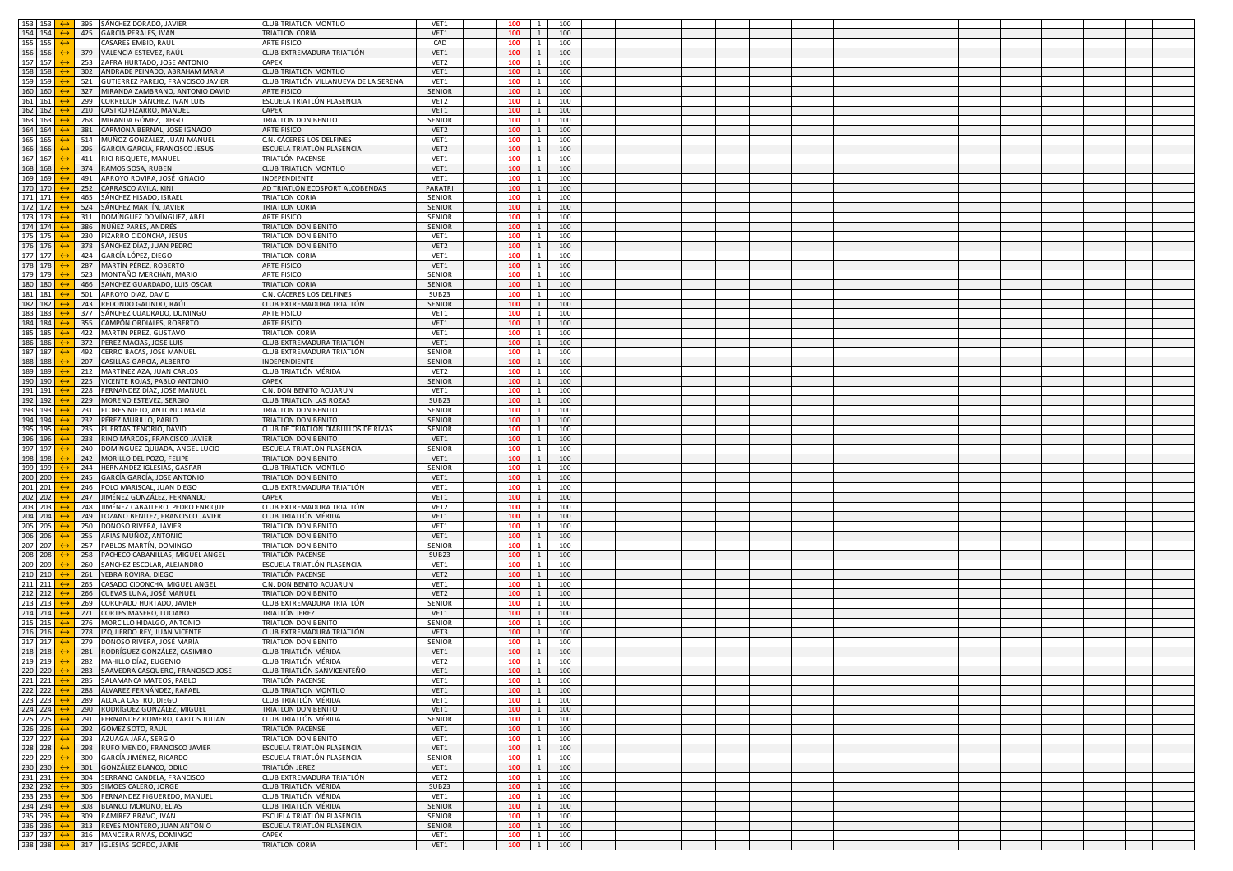| 153 153                   | 395        | SÁNCHEZ DORADO, JAVIER             | <b>CLUB TRIATLON MONTIJO</b>          | VET1          | 100             | $1 \quad$           | 100 |  |  |  |  |  |  |
|---------------------------|------------|------------------------------------|---------------------------------------|---------------|-----------------|---------------------|-----|--|--|--|--|--|--|
|                           |            |                                    |                                       |               |                 |                     |     |  |  |  |  |  |  |
| 154 154                   | 425        | <b>GARCIA PERALES, IVAN</b>        | TRIATLON CORIA                        | VET1          | 100             | 1                   | 100 |  |  |  |  |  |  |
| 155 155                   |            | CASARES EMBID, RAUI                | ARTE FISICO                           | CAD           | 100             | $\overline{1}$      | 100 |  |  |  |  |  |  |
| 156 156                   | 379        | VALENCIA ESTEVEZ, RAÚI             | CLUB EXTREMADURA TRIATLÓN             | VET1          | 100             | $\mathbf{1}$        | 100 |  |  |  |  |  |  |
| 157 157                   | 253        | ZAFRA HURTADO, JOSE ANTONIO        | CAPFX                                 | VET2          | 100             | 1                   | 100 |  |  |  |  |  |  |
| 158 158                   | 302        | ANDRADE PEINADO, ABRAHAM MARIA     | <b>CLUB TRIATLON MONTIJO</b>          | VET1          | 100             | $\overline{1}$      | 100 |  |  |  |  |  |  |
| 159 159                   | 521        | GUTIERREZ PAREJO, FRANCISCO JAVIER | CLUB TRIATLÓN VILLANUEVA DE LA SERENA | VET1          | 100             | 1                   | 100 |  |  |  |  |  |  |
| 160 160                   | 327        | MIRANDA ZAMBRANO, ANTONIO DAVID    | ARTE FISICO                           | SENIOR        | 100             | $\mathbf{1}$        | 100 |  |  |  |  |  |  |
| 161 161                   | 299        | CORREDOR SÁNCHEZ, IVAN LUIS        | ESCUELA TRIATLÓN PLASENCIA            | VET2          | 100             |                     | 100 |  |  |  |  |  |  |
| 162 162                   | 210        | CASTRO PIZARRO, MANUEL             | CAPFX                                 | VET1          | 100             | $\overline{1}$      | 100 |  |  |  |  |  |  |
| 163 163                   | 268        | MIRANDA GÓMEZ, DIEGO               | TRIATLON DON BENITO                   | SENIOR        | 100             | $\overline{1}$      | 100 |  |  |  |  |  |  |
|                           |            |                                    |                                       |               |                 |                     |     |  |  |  |  |  |  |
| 164 164                   | 381        | CARMONA BERNAL, JOSE IGNACIO       | ARTE FISICO                           | VET2          | 100             | 1                   | 100 |  |  |  |  |  |  |
| 165 165                   | 514        | MUÑOZ GONZÁLEZ, JUAN MANUE         | C.N. CÁCERES LOS DELFINES             | VET1          | 100             | $\mathbf{1}$        | 100 |  |  |  |  |  |  |
| 166 166                   | 295        | GARCIA GARCIA, FRANCISCO JESUS     | ESCUELA TRIATLÓN PLASENCIA            | VET2          | 100             |                     | 100 |  |  |  |  |  |  |
| 167 167                   | 411        | RICI RISQUETE, MANUEL              | TRIATLÓN PACENSE                      | VET1          | 100             | 1                   | 100 |  |  |  |  |  |  |
| 168 168                   | 374        | RAMOS SOSA, RUBEN                  | CLUB TRIATLON MONTIJO                 | VET1          | 100             | $\overline{1}$      | 100 |  |  |  |  |  |  |
| 169 169                   | 491        | ARROYO ROVIRA, JOSÉ IGNACIO        | INDEPENDIENTE                         | VET1          | 100             | 1                   | 100 |  |  |  |  |  |  |
| 170 170                   | 252        | CARRASCO AVILA, KINI               | AD TRIATLÓN ECOSPORT ALCOBENDAS       | PARATRI       | 100             | $\overline{1}$      | 100 |  |  |  |  |  |  |
| 171 171                   | 465        | SÁNCHEZ HISADO, ISRAEI             | TRIATLON CORIA                        | SENIOR        | 100             |                     | 100 |  |  |  |  |  |  |
| 172 172                   | 524        | SÁNCHEZ MARTÍN, JAVIER             | TRIATLON CORIA                        | SENIOR        | 100             | 1                   | 100 |  |  |  |  |  |  |
| 173 173                   | 311        | DOMÍNGUEZ DOMÍNGUEZ, ABEI          | ARTE FISICO                           | <b>SENIOR</b> | 100             | $\overline{1}$      | 100 |  |  |  |  |  |  |
| 174 174                   | 386        | NÚÑEZ PARES, ANDRÉS                | TRIATLON DON BENITO                   | SENIOR        | 100             | 1                   | 100 |  |  |  |  |  |  |
| 175 175                   | 230        | PIZARRO CIDONCHA, JESÚS            | TRIATLON DON BENITO                   | VET1          | 100             | 1                   | 100 |  |  |  |  |  |  |
| 176 176                   | 378        | SÁNCHEZ DÍAZ, JUAN PEDRO           | TRIATLON DON BENITO                   | VET2          | 100             | <sup>1</sup>        | 100 |  |  |  |  |  |  |
| 177 177                   | 424        | GARCÍA LÓPEZ, DIEGO                | TRIATLON CORIA                        | VET1          | 100             | 1                   | 100 |  |  |  |  |  |  |
|                           | 287        |                                    |                                       |               |                 |                     |     |  |  |  |  |  |  |
| 178 178                   |            | MARTÍN PÉREZ, ROBERTO              | ARTE FISICO                           | VET1          | 100             | 1                   | 100 |  |  |  |  |  |  |
| 179 179                   | 523        | MONTAÑO MERCHÁN, MARIO             | ARTE FISICO                           | SENIOR        | 100             | 1                   | 100 |  |  |  |  |  |  |
| 180 180                   | 466        | SANCHEZ GUARDADO, LUIS OSCAR       | TRIATLON CORIA                        | SENIOR        | 100             | $\overline{1}$      | 100 |  |  |  |  |  |  |
| 181 181                   | 501        | ARROYO DIAZ, DAVID                 | C.N. CÁCERES LOS DELFINES             | SUB23         | 100             | <sup>1</sup>        | 100 |  |  |  |  |  |  |
| 182 182                   | 243        | REDONDO GALINDO, RAÚL              | CLUB EXTREMADURA TRIATLÓN             | SENIOR        | 100             | $\mathbf{1}$        | 100 |  |  |  |  |  |  |
| 183 183                   | 377        | SÁNCHEZ CUADRADO, DOMINGO          | ARTE FISICO                           | VET1          | 100             | $\overline{1}$      | 100 |  |  |  |  |  |  |
| 184 184                   | 355        | CAMPÓN ORDIALES, ROBERTO           | ARTE FISICO                           | VET1          | 100             | 1                   | 100 |  |  |  |  |  |  |
| 185 185                   | 422        | MARTIN PEREZ, GUSTAVO              | <b><i>FRIATLON CORIA</i></b>          | VET1          | 100             | $\overline{1}$      | 100 |  |  |  |  |  |  |
| 186 186                   | 372        | PEREZ MACIAS, JOSE LUIS            | CLUB EXTREMADURA TRIATLÓN             | VET1          | 100             | $\overline{1}$      | 100 |  |  |  |  |  |  |
| 187 187                   | 492        | CERRO BACAS, JOSE MANUEL           | CLUB EXTREMADURA TRIATLÓN             | SENIOR        | 100             | 1                   | 100 |  |  |  |  |  |  |
| 188 188                   | 207        | CASILLAS GARCIA, ALBERTO           | <b>INDEPENDIENTE</b>                  | SENIOR        | 100             | 1                   | 100 |  |  |  |  |  |  |
| 189 189                   | 212        | MARTÍNEZ AZA, JUAN CARLOS          | CLUB TRIATLÓN MÉRIDA                  | VET2          | 100             | 1                   | 100 |  |  |  |  |  |  |
| 190 190                   | 225        | VICENTE ROJAS, PABLO ANTONIO       | CAPEX                                 | SENIOR        | 100             | 1                   | 100 |  |  |  |  |  |  |
| 191 191                   | 228        | FERNANDEZ DÍAZ, JOSE MANUEL        | C.N. DON BENITO ACUARUN               | VET1          | 100             | <sup>1</sup>        | 100 |  |  |  |  |  |  |
| 192 192                   | 229        | MORENO ESTEVEZ, SERGIO             | LUB TRIATLON LAS ROZAS                | SUB23         | 100             | 1                   | 100 |  |  |  |  |  |  |
| 193 193                   | 231        | FLORES NIETO, ANTONIO MARÍA        | TRIATLON DON BENITO                   | SENIOR        | 100             | $\overline{1}$      | 100 |  |  |  |  |  |  |
| 194 194                   | 232        | PÉREZ MURILLO, PABLO               | TRIATLON DON BENITO                   | SENIOR        | 100             | 1                   | 100 |  |  |  |  |  |  |
| 195 195                   | 235        | PUERTAS TENORIO, DAVID             | CLUB DE TRIATLÓN DIABLILLOS DE RIVAS  | SENIOR        | 100             | 1                   | 100 |  |  |  |  |  |  |
| 196 196                   | 238        | RINO MARCOS, FRANCISCO JAVIER      | TRIATLON DON BENITO                   | VET1          | 100             | 1                   | 100 |  |  |  |  |  |  |
| 197 197                   |            | DOMÍNGUEZ QUIJADA, ANGEL LUCIO     | ESCUELA TRIATLÓN PLASENCIA            | SENIOR        | 100             |                     | 100 |  |  |  |  |  |  |
| 198 198                   | 240<br>242 |                                    | TRIATLON DON BENITO                   | VET1          |                 | 1<br>$\overline{1}$ | 100 |  |  |  |  |  |  |
|                           |            | MORILLO DEL POZO, FELIPE           |                                       |               | 100             |                     |     |  |  |  |  |  |  |
| 199 199                   | 244        | HERNANDEZ IGLESIAS, GASPAF         | CLUB TRIATLON MONTIJO                 | SENIOR        | 100             | 1                   | 100 |  |  |  |  |  |  |
| 200 200                   | 245        | GARCÍA GARCÍA, JOSE ANTONIO        | TRIATLON DON BENITO                   | VET1          | 100             | 1                   | 100 |  |  |  |  |  |  |
| 201 201                   | 246        | POLO MARISCAL, JUAN DIEGO          | CLUB EXTREMADURA TRIATLÓN             | VET1          | 100             | $\overline{1}$      | 100 |  |  |  |  |  |  |
| 202 202                   | 247        | JIMÉNEZ GONZÁLEZ, FERNANDO         | <b>APFX</b>                           | VET1          | 100             | 1                   | 100 |  |  |  |  |  |  |
| 203 203                   | 248        | JIMÉNEZ CABALLERO, PEDRO ENRIQUI   | CLUB EXTREMADURA TRIATLÓN             | VET2          | 100             | $\overline{1}$      | 100 |  |  |  |  |  |  |
| 204 204                   | 249        | LOZANO BENITEZ, FRANCISCO JAVIER   | CLUB TRIATLÓN MÉRIDA                  | VET1          | 100             | 1                   | 100 |  |  |  |  |  |  |
| 205 205                   | 250        | DONOSO RIVERA, JAVIER              | TRIATLON DON BENITO                   | VET1          | 100             | 1                   | 100 |  |  |  |  |  |  |
| 206 206                   | 255        | ARIAS MUÑOZ, ANTONIO               | TRIATLON DON BENITO                   | VET1          | 100             | 1                   | 100 |  |  |  |  |  |  |
| 207 207                   | 257        | PABLOS MARTÍN, DOMINGO             | TRIATLON DON BENITO                   | SENIOR        | 100             | 1                   | 100 |  |  |  |  |  |  |
| 208 208                   | 258        | PACHECO CABANILLAS, MIGUEL ANGEL   | TRIATLÓN PACENSE                      | SUB23         | 100             | $\overline{1}$      | 100 |  |  |  |  |  |  |
| 209 209                   | 260        | SANCHEZ ESCOLAR, ALEJANDRO         | ESCUELA TRIATLÓN PLASENCIA            | VET1          | 100             | 1                   | 100 |  |  |  |  |  |  |
| 210 210                   | 261        | YEBRA ROVIRA, DIEGO                | TRIATLÓN PACENSE                      | VET2          | 100             | $\overline{1}$      | 100 |  |  |  |  |  |  |
| 211 211                   | 265        | CASADO CIDONCHA, MIGUEL ANGEL      | C.N. DON BENITO ACUARUN               | VET1          | 100             | <sup>1</sup>        | 100 |  |  |  |  |  |  |
| 212 212                   | 266        | CUEVAS LUNA, JOSÉ MANUEL           | <b>TRIATLON DON BENITO</b>            | VET2          | 100             | $\mathbf{1}$        | 100 |  |  |  |  |  |  |
| 213 213                   | 269        | CORCHADO HURTADO, JAVIER           | CLUB EXTREMADURA TRIATLÓN             | SENIOR        | 100             | $\overline{1}$      | 100 |  |  |  |  |  |  |
| 214 214                   | 271        | CORTES MASERO, LUCIANO             | TRIATLÓN JEREZ                        | VET1          | 100             | 1                   | 100 |  |  |  |  |  |  |
| 215 215                   | 276        | MORCILLO HIDALGO, ANTONIO          | <b>TRIATLON DON BENITO</b>            | SENIOR        | 100             | $\mathbf{1}$        | 100 |  |  |  |  |  |  |
| 216 216                   | 278        | IZQUIERDO REY, JUAN VICENTE        | CLUB EXTREMADURA TRIATLÓN             | VET3          | 100             | 1                   | 100 |  |  |  |  |  |  |
| 217 217                   | 279        | DONOSO RIVERA, JOSÉ MARÍA          | TRIATLON DON BENITO                   | SENIOR        | 100             | 1                   | 100 |  |  |  |  |  |  |
| 218 218                   |            | 281 RODRÍGUEZ GONZÁLEZ, CASIMIRO   | CLUB TRIATLÓN MÉRIDA                  | VET1          | 100             | $\overline{1}$      | 100 |  |  |  |  |  |  |
| 219 219                   |            | 282 MAHILLO DÍAZ, EUGENIO          | CLUB TRIATLÓN MÉRIDA                  | VET2          | 100             | 1                   | 100 |  |  |  |  |  |  |
| 220 220                   |            | 283 SAAVEDRA CASOLIERO ERAN        | CLUR TRIATIÓN SANVICEN                | VFT1          | 100             |                     | 100 |  |  |  |  |  |  |
| 221 221                   |            | 285 SALAMANCA MATEOS, PABLO        | TRIATLÓN PACENSE                      | VET1          | $100 \t 1$      |                     | 100 |  |  |  |  |  |  |
| 222 222                   |            | 288 ÁLVAREZ FERNÁNDEZ, RAFAEL      | LUB TRIATLON MONTIJO                  | VET1          | 100             | $1\quad$            | 100 |  |  |  |  |  |  |
| 223 223                   |            | 289 ALCALA CASTRO, DIEGO           | CLUB TRIATLÓN MÉRIDA                  | VET1          | $100$   1   100 |                     |     |  |  |  |  |  |  |
| 224 224                   |            | 290 RODRÍGUEZ GONZÁLEZ, MIGUEL     | TRIATLON DON BENITO                   | VET1          | 100             | $1\quad$            | 100 |  |  |  |  |  |  |
|                           | 291        | FERNANDEZ ROMERO, CARLOS JULIAN    | CLUB TRIATLÓN MÉRIDA                  | SENIOR        | 100             | $\vert 1 \vert$     |     |  |  |  |  |  |  |
| 225 225                   |            | 292 GOMEZ SOTO, RAUL               |                                       |               | 100             |                     | 100 |  |  |  |  |  |  |
| 226 226                   |            |                                    | TRIATLÓN PACENSE                      | VET1          |                 | 11                  | 100 |  |  |  |  |  |  |
| 227 227                   |            | 293 AZUAGA JARA, SERGIO            | TRIATLON DON BENITO                   | VET1          | 100             | $1 \quad$           | 100 |  |  |  |  |  |  |
| 228 228                   |            | 298 RUFO MENDO, FRANCISCO JAVIER   | ESCUELA TRIATLÓN PLASENCIA            | VET1          | 100             | $1 \mid$            | 100 |  |  |  |  |  |  |
| 229 229                   |            | 300 GARCÍA JIMÉNEZ, RICARDO        | ESCUELA TRIATLÓN PLASENCIA            | SENIOR        | 100             | $\vert 1 \vert$     | 100 |  |  |  |  |  |  |
| 230 230                   | 301        | GONZÁLEZ BLANCO, ODILO             | TRIATLÓN JEREZ                        | VET1          | 100             | $\vert 1 \vert$     | 100 |  |  |  |  |  |  |
| 231 231                   | 304        | SERRANO CANDELA, FRANCISCO         | CLUB EXTREMADURA TRIATLÓN             | VET2          | 100             | $\vert 1 \vert$     | 100 |  |  |  |  |  |  |
| 232 232                   | 305        | SIMOES CALERO, JORGE               | CLUB TRIATLÓN MÉRIDA                  | SUB23         | 100             | <sup>1</sup>        | 100 |  |  |  |  |  |  |
| 233 233                   |            | 306 FERNANDEZ FIGUEREDO, MANUEL    | CLUB TRIATLÓN MÉRIDA                  | VET1          | 100             | $\vert 1 \vert$     | 100 |  |  |  |  |  |  |
| 234 234                   |            | 308 BLANCO MORUNO, ELIAS           | CLUB TRIATLÓN MÉRIDA                  | SENIOR        | 100             | $1\quad1$           | 100 |  |  |  |  |  |  |
| 235 235                   |            | 309 RAMÍREZ BRAVO, IVÁN            | ESCUELA TRIATLÓN PLASENCIA            | SENIOR        | 100             | $\vert$ 1 $\vert$   | 100 |  |  |  |  |  |  |
| 236 236                   |            | 313 REYES MONTERO, JUAN ANTONIO    | ESCUELA TRIATLÓN PLASENCIA            | SENIOR        | 100             | $\vert 1 \vert$     | 100 |  |  |  |  |  |  |
| 237 237                   |            | 316 MANCERA RIVAS, DOMINGO         | CAPEX                                 | VET1          | 100             | $\vert 1 \vert$     | 100 |  |  |  |  |  |  |
| 238 238 $\leftrightarrow$ |            | 317 IGLESIAS GORDO, JAIME          | TRIATLON CORIA                        | VET1          | $100$ 1 100     |                     |     |  |  |  |  |  |  |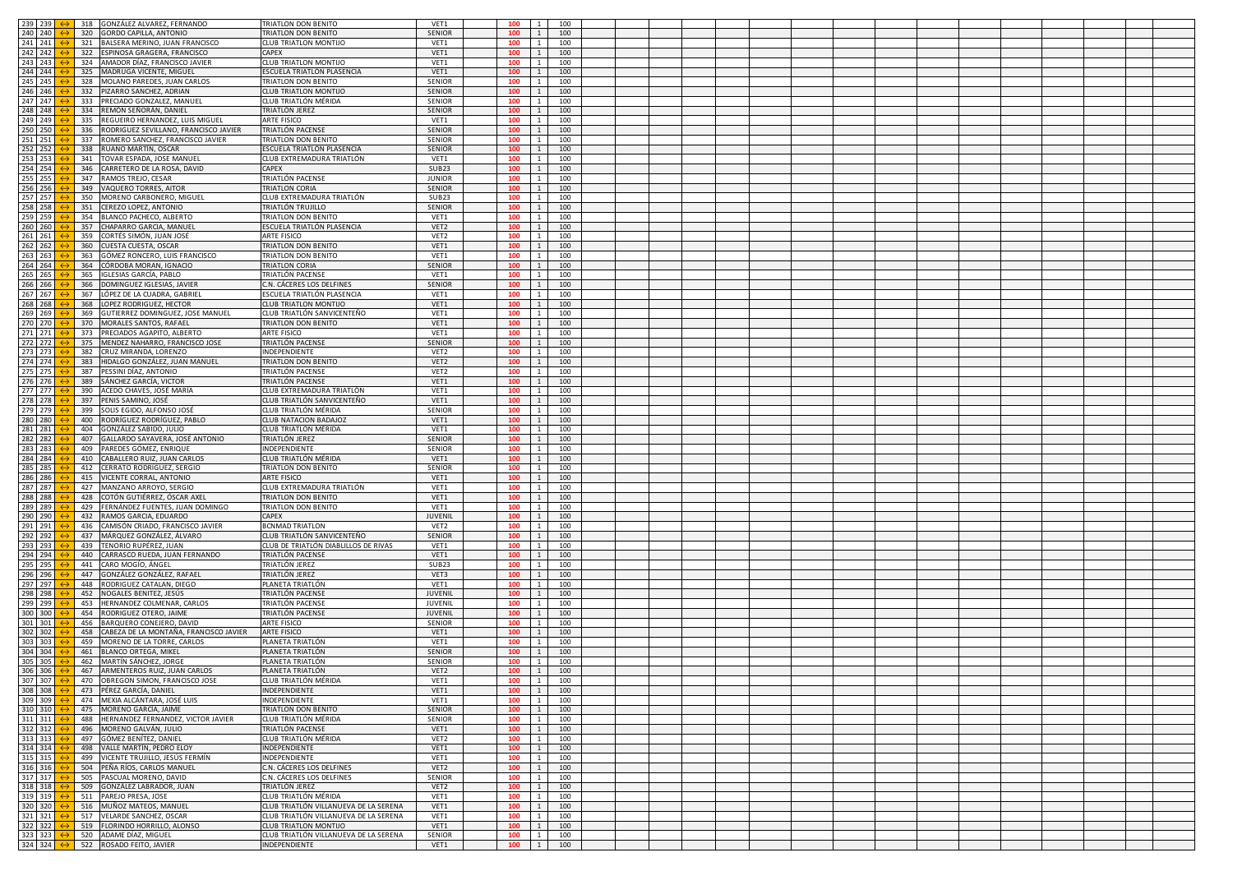| 239 239 $\leftrightarrow$                           |     | 318 GONZÁLEZ ALVAREZ, FERNANDO                       | TRIATLON DON BENITO                   | VET1             | 100        | $\overline{1}$                                                                         | 100 |  |  |  |  |  |  |  |  |
|-----------------------------------------------------|-----|------------------------------------------------------|---------------------------------------|------------------|------------|----------------------------------------------------------------------------------------|-----|--|--|--|--|--|--|--|--|
|                                                     |     |                                                      |                                       |                  |            |                                                                                        |     |  |  |  |  |  |  |  |  |
| 240 240                                             | 320 | GORDO CAPILLA, ANTONIO                               | <b><i>TRIATLON DON BENITO</i></b>     | SENIOR           | 100        | $\mathbf{1}$                                                                           | 100 |  |  |  |  |  |  |  |  |
| 241 241                                             | 321 | BALSERA MERINO, JUAN FRANCISCO                       | <b>CLUB TRIATLON MONTIJC</b>          | VET1             | 100        | $\mathbf{1}$                                                                           | 100 |  |  |  |  |  |  |  |  |
| 242 242                                             | 322 | SPINOSA GRAGERA, FRANCISCO                           | CAPEX                                 | VET1             | 100        | $\mathbf{1}$                                                                           | 100 |  |  |  |  |  |  |  |  |
| 243 243                                             | 324 | AMADOR DÍAZ, FRANCISCO JAVIER                        | CLUB TRIATLON MONTIJO                 | VET1             | 100        | $\mathbf{1}$                                                                           | 100 |  |  |  |  |  |  |  |  |
| 244 244                                             | 325 | MADRUGA VICENTE, MIGUEL                              | ESCUELA TRIATLÓN PLASENCIA            | VET1             | 100        | $\overline{1}$                                                                         | 100 |  |  |  |  |  |  |  |  |
| 245<br>245                                          | 328 | MOLANO PAREDES, JUAN CARLOS                          | TRIATLON DON BENITO                   | SENIOR           | 100        | $\mathbf{1}$                                                                           | 100 |  |  |  |  |  |  |  |  |
| 246<br>246                                          | 332 | PIZARRO SANCHEZ, ADRIAN                              | CLUB TRIATLON MONTIJ                  | SENIOR           | 100        | $\mathbf{1}$                                                                           | 100 |  |  |  |  |  |  |  |  |
| 247<br>247                                          | 333 | RECIADO GONZALEZ, MANUI                              | CLUB TRIATLÓN MÉRIDA                  | SENIOR           | 100        | $\mathbf{1}$                                                                           | 100 |  |  |  |  |  |  |  |  |
| 248<br>248                                          | 334 | REMÓN SEÑORÁN, DANIEI                                | TRIATLÓN JEREZ                        | SENIOR           | 100        | $\mathbf{1}$                                                                           | 100 |  |  |  |  |  |  |  |  |
| 249<br>249                                          | 335 | REGUEIRO HERNANDEZ, LUIS MIGUEL                      | ARTE FISICO                           | VET1             | 100        | $\overline{1}$                                                                         | 100 |  |  |  |  |  |  |  |  |
| 250<br>250                                          | 336 | RODRIGUEZ SEVILLANO, FRANCISCO JAVIER                | TRIATLÓN PACENSE                      | <b>SENIOR</b>    | 100        | $\mathbf{1}$                                                                           | 100 |  |  |  |  |  |  |  |  |
| 251<br>251                                          | 337 | ROMERO SANCHEZ, FRANCISCO JAVIER                     | <b><i>FRIATLON DON BENITO</i></b>     | SENIOR           | 100        | $\mathbf{1}$                                                                           | 100 |  |  |  |  |  |  |  |  |
|                                                     |     |                                                      |                                       |                  | 100        | $\mathbf{1}$                                                                           |     |  |  |  |  |  |  |  |  |
| 252<br>252                                          | 338 | RUANO MARTÍN, OSCAR                                  | ESCUELA TRIATLÓN PLASENCIA            | SENIOR           |            |                                                                                        | 100 |  |  |  |  |  |  |  |  |
| 253<br>253                                          | 341 | OVAR ESPADA, JOSE MANUEL                             | CLUB EXTREMADURA TRIATLÓN             | VET1             | 100        | $\mathbf{1}$                                                                           | 100 |  |  |  |  |  |  |  |  |
| $254$ 254                                           | 346 | CARRETERO DE LA ROSA, DAVID                          | CAPEX                                 | SUB23            | 100        | $\overline{1}$                                                                         | 100 |  |  |  |  |  |  |  |  |
| 255<br>255                                          | 347 | RAMOS TREJO, CESAR                                   | TRIATLÓN PACENSI                      | <b>JUNIOR</b>    | 100        | $\mathbf{1}$                                                                           | 100 |  |  |  |  |  |  |  |  |
| 256<br>256                                          | 349 | AQUERO TORRES, AITOR                                 | <b>TRIATLON CORIA</b>                 | SENIOR           | 100        | $\mathbf{1}$                                                                           | 100 |  |  |  |  |  |  |  |  |
| 257<br>257                                          | 350 | MORENO CARBONERO, MIGUEI                             | CLUB EXTREMADURA TRIATLÓN             | SUB23            | 100        | $\mathbf{1}$                                                                           | 100 |  |  |  |  |  |  |  |  |
| 258<br>258                                          | 351 | EREZO LOPEZ, ANTONIO                                 | TRIATLÓN TRUJILLO                     | SENIOR           | 100        | $\mathbf{1}$                                                                           | 100 |  |  |  |  |  |  |  |  |
| 259<br>259                                          | 354 | <b>BLANCO PACHECO, ALBERTO</b>                       | <b>TRIATLON DON BENITO</b>            | VET1             | 100        | $\overline{1}$                                                                         | 100 |  |  |  |  |  |  |  |  |
| 260<br>260                                          | 357 | CHAPARRO GARCIA, MANUE                               | ESCUELA TRIATLÓN PLASENCIA            | VET2             | 100        | $\mathbf{1}$                                                                           | 100 |  |  |  |  |  |  |  |  |
| 261<br>261                                          | 359 | :ORTÉS SIMÓN, JUAN JOSÉ                              | ARTE FISICO                           | VET2             | 100        | 1                                                                                      | 100 |  |  |  |  |  |  |  |  |
| 262<br>262                                          | 360 | CUESTA CUESTA, OSCAR                                 | TRIATLON DON BENITO                   | VET1             | 100        | <sup>1</sup>                                                                           | 100 |  |  |  |  |  |  |  |  |
| 263<br>263                                          | 363 | SÓMEZ RONCERO, LUIS FRANCISCO                        | TRIATLON DON BENITO                   | VET1             | 100        | $\mathbf{1}$                                                                           | 100 |  |  |  |  |  |  |  |  |
| $264$ 264                                           | 364 | CÓRDOBA MORAN, IGNACIO                               | <b>TRIATLON CORIA</b>                 | SENIOR           | 100        | $\overline{1}$                                                                         | 100 |  |  |  |  |  |  |  |  |
| 265<br>265                                          | 365 | GLESIAS GARCÍA, PABLO                                | TRIATLÓN PACENSE                      | VET1             | 100        | $\mathbf{1}$                                                                           | 100 |  |  |  |  |  |  |  |  |
| 266<br>266                                          | 366 | OMINGUEZ IGLESIAS, JAVIER                            | C.N. CÁCERES LOS DELFINES             | SENIOR           | 100        | $\mathbf{1}$                                                                           | 100 |  |  |  |  |  |  |  |  |
| 267<br>267                                          | 367 | ÓPEZ DE LA CUADRA, GABRIEL                           | ESCUELA TRIATLÓN PLASENCIA            | VET1             | 100        | <sup>1</sup>                                                                           | 100 |  |  |  |  |  |  |  |  |
| 268<br>268                                          | 368 | OPEZ RODRIGUEZ, HECTOR                               | CLUB TRIATLON MONTIJO                 | VET1             | 100        | 1                                                                                      | 100 |  |  |  |  |  |  |  |  |
| 269<br>269                                          | 369 | <b>GUTIERREZ DOMINGUEZ, JOSE MANUEL</b>              | CLUB TRIATLÓN SANVICENTEÑO            | VET1             | 100        | $\mathbf{1}$                                                                           | 100 |  |  |  |  |  |  |  |  |
| 270<br>270                                          | 370 |                                                      | <b>TRIATLON DON BENITO</b>            | VET1             | 100        | $\mathbf{1}$                                                                           | 100 |  |  |  |  |  |  |  |  |
| 271 271                                             | 373 | MORALES SANTOS, RAFAEL<br>PRECIADOS AGAPITO, ALBERTO | ARTE FISICO                           | VET1             | 100        | $\mathbf{1}$                                                                           | 100 |  |  |  |  |  |  |  |  |
| $272$ 272                                           | 375 | MENDEZ NAHARRO, FRANCISCO JOSE                       | TRIATLÓN PACENSE                      | SENIOR           | 100        | <sup>1</sup>                                                                           | 100 |  |  |  |  |  |  |  |  |
| 273 273                                             | 382 | CRUZ MIRANDA, LORENZO                                | NDEPENDIENTE                          | VET2             | 100        |                                                                                        | 100 |  |  |  |  |  |  |  |  |
| 274 274                                             | 383 | HIDALGO GONZÁLEZ, JUAN MANUEL                        | TRIATLON DON BENITO                   | VET2             | 100        | 1<br>$\overline{1}$                                                                    | 100 |  |  |  |  |  |  |  |  |
| 275                                                 |     |                                                      |                                       |                  |            | $\mathbf{1}$                                                                           |     |  |  |  |  |  |  |  |  |
| 275                                                 | 387 | PESSINI DÍAZ, ANTONIO                                | TRIATLÓN PACENSE                      | VET2             | 100        |                                                                                        | 100 |  |  |  |  |  |  |  |  |
| 276<br>276                                          | 389 | SÁNCHEZ GARCÍA, VICTOF                               | TRIATLÓN PACENSE                      | VET1             | 100        | $\mathbf{1}$                                                                           | 100 |  |  |  |  |  |  |  |  |
| 277 277                                             | 390 | ACEDO CHAVES, JOSÉ MARÍA                             | CLUB EXTREMADURA TRIATLÓN             | VET1             | 100        | $\overline{1}$                                                                         | 100 |  |  |  |  |  |  |  |  |
| 278<br>278                                          | 397 | ENIS SAMINO, JOSÉ                                    | CLUB TRIATLÓN SANVICENTEÑO            | VET1             | 100        | 1                                                                                      | 100 |  |  |  |  |  |  |  |  |
| 279<br>279                                          | 399 | SOLIS EGIDO, ALFONSO JOSÉ                            | CLUB TRIATLÓN MÉRIDA                  | SENIOR           | 100        | $\overline{1}$                                                                         | 100 |  |  |  |  |  |  |  |  |
| 280<br>280                                          | 400 | RODRÍGUEZ RODRÍGUEZ, PABLO                           | CLUB NATACION BADAJOZ                 | VET1             | 100        | $\mathbf{1}$                                                                           | 100 |  |  |  |  |  |  |  |  |
| 281<br>281                                          | 404 | GONZÁLEZ SABIDO, JULIO                               | CLUB TRIATLÓN MÉRIDA                  | VET1             | 100        | $\mathbf{1}$                                                                           | 100 |  |  |  |  |  |  |  |  |
| 282<br>282                                          | 407 | GALLARDO SAYAVERA, JOSÉ ANTONIO                      | TRIATLÓN JEREZ                        | SENIOR           | 100        | 1                                                                                      | 100 |  |  |  |  |  |  |  |  |
| 283<br>283                                          | 409 | PAREDES GÓMEZ, ENRIQUE                               | NDEPENDIENTE                          | SENIOR           | 100        | 1                                                                                      | 100 |  |  |  |  |  |  |  |  |
| 284 284                                             | 410 | CABALLERO RUIZ, JUAN CARLOS                          | CLUB TRIATLÓN MÉRIDA                  | VET1             | 100        | $\overline{1}$                                                                         | 100 |  |  |  |  |  |  |  |  |
| 285<br>285                                          | 412 | CERRATO RODRIGUEZ, SERGIO                            | TRIATLON DON BENITO                   | SENIOR           | 100        | $\mathbf{1}$                                                                           | 100 |  |  |  |  |  |  |  |  |
| 286<br>286                                          | 415 | <b>ICENTE CORRAL, ANTONIO</b>                        | ARTE FISICO                           | VET1             | 100        | 1                                                                                      | 100 |  |  |  |  |  |  |  |  |
| 287<br>287                                          | 427 | MANZANO ARROYO, SERGIO                               | CLUB EXTREMADURA TRIATLÓN             | VET1             | 100        | $\mathbf{1}$                                                                           | 100 |  |  |  |  |  |  |  |  |
| 288<br>288                                          | 428 | OTÓN GUTIÉRREZ, ÓSCAR AXEL                           | <b>TRIATLON DON BENITO</b>            | VET1             | 100        | $\mathbf{1}$                                                                           | 100 |  |  |  |  |  |  |  |  |
| 289<br>289                                          | 429 | ERNÁNDEZ FUENTES, JUAN DOMINGO                       | TRIATLON DON BENITO                   | VET1             | 100        | $\overline{1}$                                                                         | 100 |  |  |  |  |  |  |  |  |
| 290<br>290                                          | 432 | RAMOS GARCIA, EDUARDO                                | CAPEX                                 | JUVENIL          | 100        | $\mathbf{1}$                                                                           | 100 |  |  |  |  |  |  |  |  |
| 291<br>291                                          | 436 | AMISÓN CRIADO, FRANCISCO JAVIER                      | <b>SCNMAD TRIATLON</b>                | VET2             | 100        | $\mathbf{1}$                                                                           | 100 |  |  |  |  |  |  |  |  |
| 292 292                                             | 437 | MÁRQUEZ GONZÁLEZ, ÁLVARO                             | CLUB TRIATLÓN SANVICENTEÑO            | SENIOR           | 100        | <sup>1</sup>                                                                           | 100 |  |  |  |  |  |  |  |  |
| 293<br>293                                          | 439 | TENORIO RUPÉREZ, JUAN                                | CLUB DE TRIATLÓN DIABLILLOS DE RIVAS  | VET1             | 100        | $\mathbf{1}$                                                                           | 100 |  |  |  |  |  |  |  |  |
| 294<br>294                                          | 440 | CARRASCO RUEDA, JUAN FERNANDO                        | TRIATLÓN PACENSE                      | VET1             | 100        | $\overline{1}$                                                                         | 100 |  |  |  |  |  |  |  |  |
| 295<br>295                                          | 441 | CARO MOGÍO, ÁNGEL                                    | TRIATLÓN JEREZ                        | SUB23            | 100        | $\mathbf{1}$                                                                           | 100 |  |  |  |  |  |  |  |  |
| 296<br>296                                          | 447 | GONZÁLEZ GONZÁLEZ, RAFAEI                            | TRIATLÓN JEREZ                        | VET3             | 100        | $\mathbf{1}$                                                                           | 100 |  |  |  |  |  |  |  |  |
| 297<br>297                                          | 448 | RODRIGUEZ CATALAN, DIEGO                             | PLANETA TRIATLÓN                      | VET1             | 100        | <sup>1</sup>                                                                           | 100 |  |  |  |  |  |  |  |  |
| 298<br>298                                          | 452 | NOGALES BENITEZ, JESÚS                               | TRIATLÓN PACENSE                      | <b>JUVENIL</b>   | 100        | 1                                                                                      | 100 |  |  |  |  |  |  |  |  |
| 299<br>299                                          | 453 | HERNANDEZ COLMENAR, CARLOS                           | TRIATLÓN PACENSE                      | <b>JUVENIL</b>   | 100        | $\mathbf{1}$                                                                           | 100 |  |  |  |  |  |  |  |  |
| 300<br>300                                          | 454 | RODRIGUEZ OTERO, JAIME                               | TRIATLÓN PACENSE                      | JUVENIL          | 100        | $\mathbf{1}$                                                                           | 100 |  |  |  |  |  |  |  |  |
| 301<br>301                                          | 456 | ARQUERO CONEJERO, DAVID                              | ARTE FISICO                           | SENIOR           | 100        | $\mathbf{1}$                                                                           | 100 |  |  |  |  |  |  |  |  |
| 302 302                                             | 458 | CABEZA DE LA MONTAÑA, FRANCISCO JAVIER               | ARTE FISICO                           | VET1             | 100        | <sup>1</sup>                                                                           | 100 |  |  |  |  |  |  |  |  |
| 303<br>303                                          | 459 | MORENO DE LA TORRE, CARLOS                           | PLANETA TRIATLÓN                      | VET1             | 100        | <sup>1</sup>                                                                           | 100 |  |  |  |  |  |  |  |  |
| $304 \overline{)304}$                               |     | 461 BLANCO ORTEGA, MIKEL                             | PLANETA TRIATLÓN                      | <b>SENIOR</b>    | 100        | $\overline{1}$                                                                         | 100 |  |  |  |  |  |  |  |  |
| 305<br>305                                          | 462 | MARTÍN SÁNCHEZ, JORGE                                | PLANETA TRIATLÓN                      | SENIOR           | 100        | $\mathbf{1}$                                                                           | 100 |  |  |  |  |  |  |  |  |
| 306<br>306                                          |     | 467 ARMENTEROS RUIZ. JUAN CARLOS                     | ΡΙ ΔΝΕΤΑ ΤΡΙΔΤΙΟ                      | VFT <sub>2</sub> | 100        |                                                                                        | 100 |  |  |  |  |  |  |  |  |
| $307$ 307 $\leftrightarrow$                         |     | 470 OBREGON SIMON, FRANCISCO JOSE                    | CLUB TRIATLÓN MÉRIDA                  | VET1             | $100 \t 1$ |                                                                                        | 100 |  |  |  |  |  |  |  |  |
| 308 308                                             |     | 473 PÉREZ GARCÍA, DANIEL                             | NDEPENDIENTE                          | VET1             | 100        | $1\vert$                                                                               | 100 |  |  |  |  |  |  |  |  |
| $309$ 309 $\leftrightarrow$                         |     | 474 MEXIA ALCÁNTARA, JOSÉ LUIS                       | <b>INDEPENDIENTE</b>                  | VET1             |            | $\vert 1 \vert$                                                                        | 100 |  |  |  |  |  |  |  |  |
| 310 310 $\leftrightarrow$                           |     |                                                      |                                       |                  | 100        |                                                                                        |     |  |  |  |  |  |  |  |  |
|                                                     |     | 475 MORENO GARCÍA, JAIME                             | TRIATLON DON BENITO                   | SENIOR           | 100        | 1                                                                                      | 100 |  |  |  |  |  |  |  |  |
| $311 \overline{\smash{\big)}\ 311} \leftrightarrow$ | 488 | HERNANDEZ FERNANDEZ, VICTOR JAVIER                   | CLUB TRIATLÓN MÉRIDA                  | SENIOR           | 100<br>100 | <sup>1</sup>                                                                           | 100 |  |  |  |  |  |  |  |  |
| $312$ 312 $\leftrightarrow$                         |     | 496 MORENO GALVÁN, JULIO                             | TRIATLÓN PACENSE                      | VET1             |            | $1\quad$                                                                               | 100 |  |  |  |  |  |  |  |  |
| 313 313                                             |     | 497 GÓMEZ BENÍTEZ, DANIEL                            | CLUB TRIATLÓN MÉRIDA                  | VET2             | 100        | $1 \quad$                                                                              | 100 |  |  |  |  |  |  |  |  |
| 314 314 $\leftrightarrow$                           |     | 498 VALLE MARTÍN, PEDRO ELOY                         | INDEPENDIENTE                         | VET1             | 100        | 1                                                                                      | 100 |  |  |  |  |  |  |  |  |
| 315 315                                             |     | 499 VICENTE TRUJILLO, JESÚS FERMÍN                   | INDEPENDIENTE                         | VET1             | 100        | 1                                                                                      | 100 |  |  |  |  |  |  |  |  |
| 316 316 $\leftrightarrow$                           |     | 504 PEÑA RÍOS, CARLOS MANUEL                         | C.N. CÁCERES LOS DELFINES             | VET2             | 100        | $\mathbf{1}$                                                                           | 100 |  |  |  |  |  |  |  |  |
| $317$ 317 $\leftrightarrow$                         |     | 505 PASCUAL MORENO, DAVID                            | C.N. CÁCERES LOS DELFINES             | SENIOR           | 100        | $\overline{1}$                                                                         | 100 |  |  |  |  |  |  |  |  |
| 318 318                                             |     | 509 GONZÁLEZ LABRADOR, JUAN                          | TRIATLÓN JEREZ                        | VET2             | 100        | <sup>1</sup>                                                                           | 100 |  |  |  |  |  |  |  |  |
| 319 319 $\leftrightarrow$                           |     | 511 PAREJO PRESA, JOSE                               | CLUB TRIATLÓN MÉRIDA                  | VET1             | 100        | $\overline{1}$                                                                         | 100 |  |  |  |  |  |  |  |  |
| 320 320                                             |     | 516 MUÑOZ MATEOS, MANUEL                             | CLUB TRIATLÓN VILLANUEVA DE LA SERENA | VET1             | 100        | $\begin{array}{\begin{array}{\small \begin{array}{\small \end{array}}}} 1 \end{array}$ | 100 |  |  |  |  |  |  |  |  |
| $321 \overrightarrow{321}$ $\leftrightarrow$        |     | 517 VELARDE SANCHEZ, OSCAR                           | CLUB TRIATLÓN VILLANUEVA DE LA SERENA | VET1             | 100        |                                                                                        | 100 |  |  |  |  |  |  |  |  |
| $322$ 322 $\leftrightarrow$                         |     | 519 FLORINDO HORRILLO, ALONSO                        | CLUB TRIATLON MONTIJO                 | VET1             | 100        | $1\quad$                                                                               | 100 |  |  |  |  |  |  |  |  |
| 323 323 $\leftrightarrow$                           |     | 520 ADAME DÍAZ, MIGUEL                               | CLUB TRIATLÓN VILLANUEVA DE LA SERENA | SENIOR           | 100        | $\vert 1 \vert$                                                                        | 100 |  |  |  |  |  |  |  |  |
|                                                     |     | 324 324 ↔ 522 ROSADO FEITO, JAVIER                   | INDEPENDIENTE                         | VET1             | 100        | $1 \mid$                                                                               | 100 |  |  |  |  |  |  |  |  |